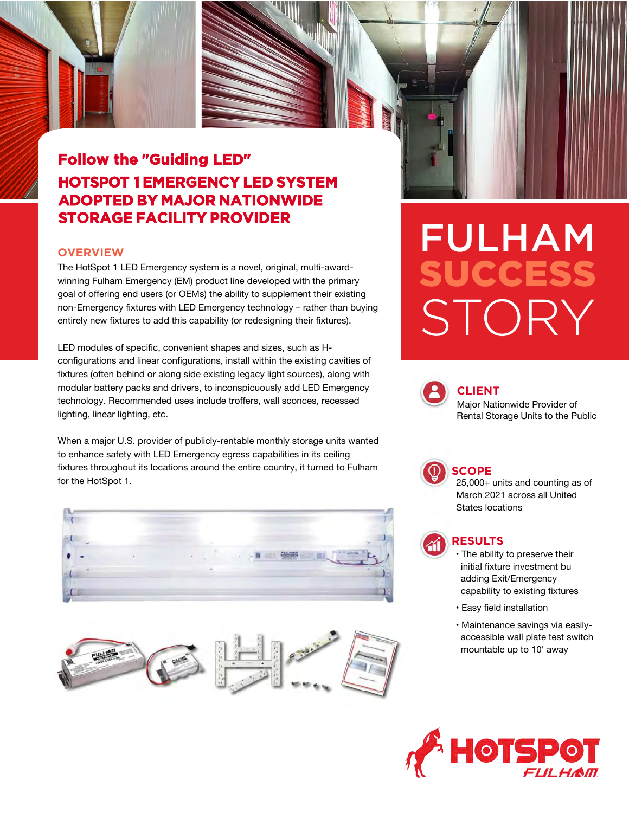## **Follow the "Guiding LED" HOTSPOT 1 EMERGENCY LED SYSTEM ADOPTED BY MAJOR NATIONWIDE STORAGE FACILITY PROVIDER**

#### **OVERVIEW**

The HotSpot 1 LED Emergency system is a novel, original, multi-awardwinning Fulham Emergency (EM) product line developed with the primary goal of offering end users (or OEMs) the ability to supplement their existing non-Emergency fixtures with LED Emergency technology – rather than buying entirely new fixtures to add this capability (or redesigning their fixtures).

LED modules of specific, convenient shapes and sizes, such as Hconfigurations and linear configurations, install within the existing cavities of fixtures (often behind or along side existing legacy light sources), along with modular battery packs and drivers, to inconspicuously add LED Emergency technology. Recommended uses include troffers, wall sconces, recessed lighting, linear lighting, etc.

When a major U.S. provider of publicly-rentable monthly storage units wanted to enhance safety with LED Emergency egress capabilities in its ceiling fixtures throughout its locations around the entire country, it turned to Fulham for the HotSpot 1.





# FULHAM SUCCESS STORY



#### **CLIENT**

Major Nationwide Provider of Rental Storage Units to the Public



#### **SCOPE**

25,000+ units and counting as of March 2021 across all United States locations

### **RESULTS**

- The ability to preserve their initial fixture investment bu adding Exit/Emergency capability to existing fixtures
- Easy field installation
- Maintenance savings via easilyaccessible wall plate test switch mountable up to 10' away